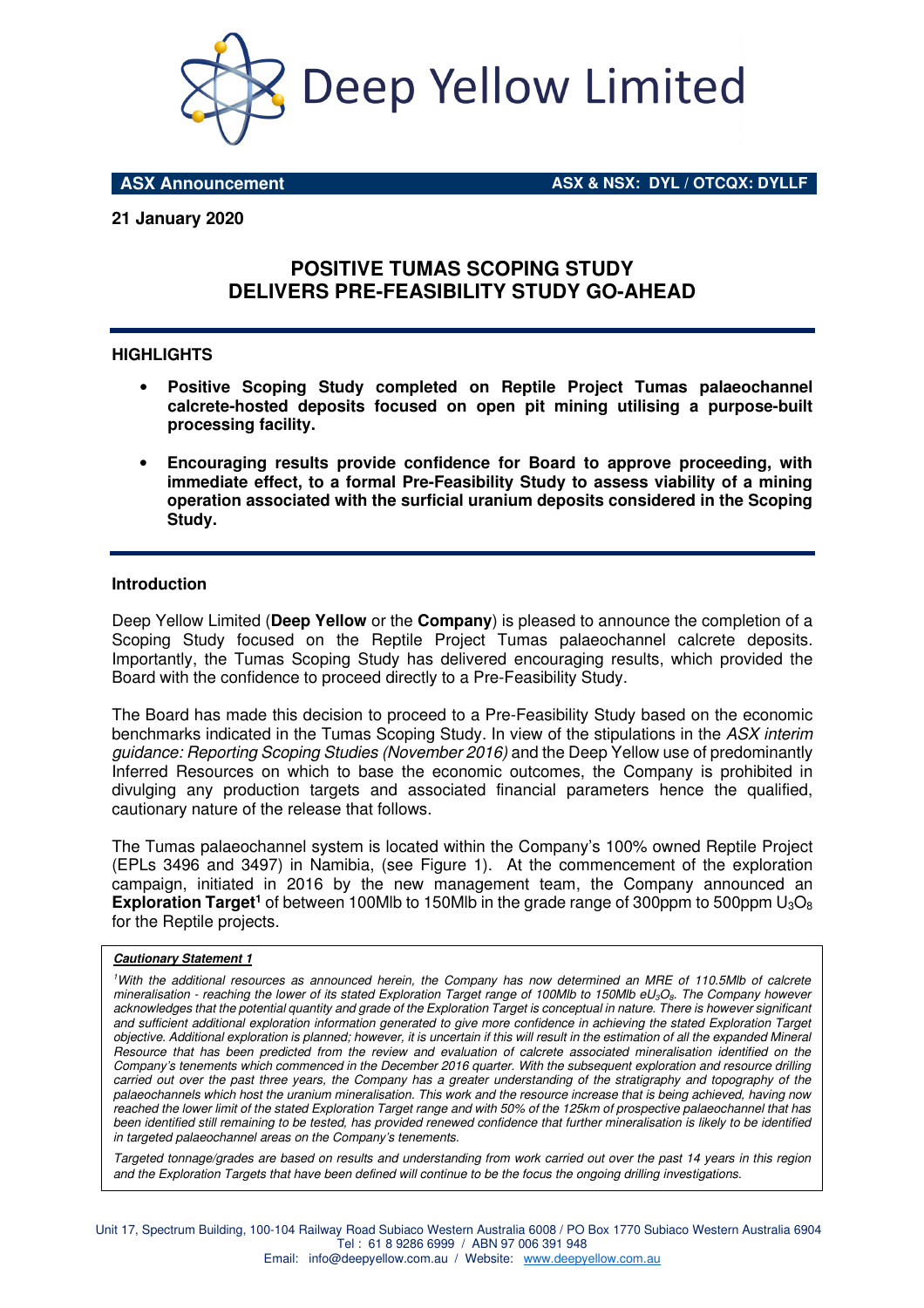

**ASX Announcement ASX & NSX: DYL / OTCQX: DYLLF**

## **21 January 2020**

# **POSITIVE TUMAS SCOPING STUDY DELIVERS PRE-FEASIBILITY STUDY GO-AHEAD**

#### **HIGHLIGHTS**

- **Positive Scoping Study completed on Reptile Project Tumas palaeochannel calcrete-hosted deposits focused on open pit mining utilising a purpose-built processing facility.**
- **Encouraging results provide confidence for Board to approve proceeding, with immediate effect, to a formal Pre-Feasibility Study to assess viability of a mining operation associated with the surficial uranium deposits considered in the Scoping Study.**

#### **Introduction**

Deep Yellow Limited (**Deep Yellow** or the **Company**) is pleased to announce the completion of a Scoping Study focused on the Reptile Project Tumas palaeochannel calcrete deposits. Importantly, the Tumas Scoping Study has delivered encouraging results, which provided the Board with the confidence to proceed directly to a Pre-Feasibility Study.

The Board has made this decision to proceed to a Pre-Feasibility Study based on the economic benchmarks indicated in the Tumas Scoping Study. In view of the stipulations in the *ASX interim guidance: Reporting Scoping Studies (November 2016)* and the Deep Yellow use of predominantly Inferred Resources on which to base the economic outcomes, the Company is prohibited in divulging any production targets and associated financial parameters hence the qualified, cautionary nature of the release that follows.

The Tumas palaeochannel system is located within the Company's 100% owned Reptile Project (EPLs 3496 and 3497) in Namibia, (see Figure 1). At the commencement of the exploration campaign, initiated in 2016 by the new management team, the Company announced an **Exploration Target<sup>1</sup>** of between 100Mlb to 150Mlb in the grade range of 300ppm to 500ppm U<sub>3</sub>O<sub>8</sub> for the Reptile projects.

#### **Cautionary Statement 1**

*<sup>1</sup>With the additional resources as announced herein, the Company has now determined an MRE of 110.5Mlb of calcrete mineralisation - reaching the lower of its stated Exploration Target range of 100Mlb to 150Mlb eU3O8. The Company however acknowledges that the potential quantity and grade of the Exploration Target is conceptual in nature. There is however significant and sufficient additional exploration information generated to give more confidence in achieving the stated Exploration Target objective. Additional exploration is planned; however, it is uncertain if this will result in the estimation of all the expanded Mineral Resource that has been predicted from the review and evaluation of calcrete associated mineralisation identified on the Company's tenements which commenced in the December 2016 quarter. With the subsequent exploration and resource drilling carried out over the past three years, the Company has a greater understanding of the stratigraphy and topography of the palaeochannels which host the uranium mineralisation. This work and the resource increase that is being achieved, having now reached the lower limit of the stated Exploration Target range and with 50% of the 125km of prospective palaeochannel that has been identified still remaining to be tested, has provided renewed confidence that further mineralisation is likely to be identified in targeted palaeochannel areas on the Company's tenements.* 

*Targeted tonnage/grades are based on results and understanding from work carried out over the past 14 years in this region and the Exploration Targets that have been defined will continue to be the focus the ongoing drilling investigations.*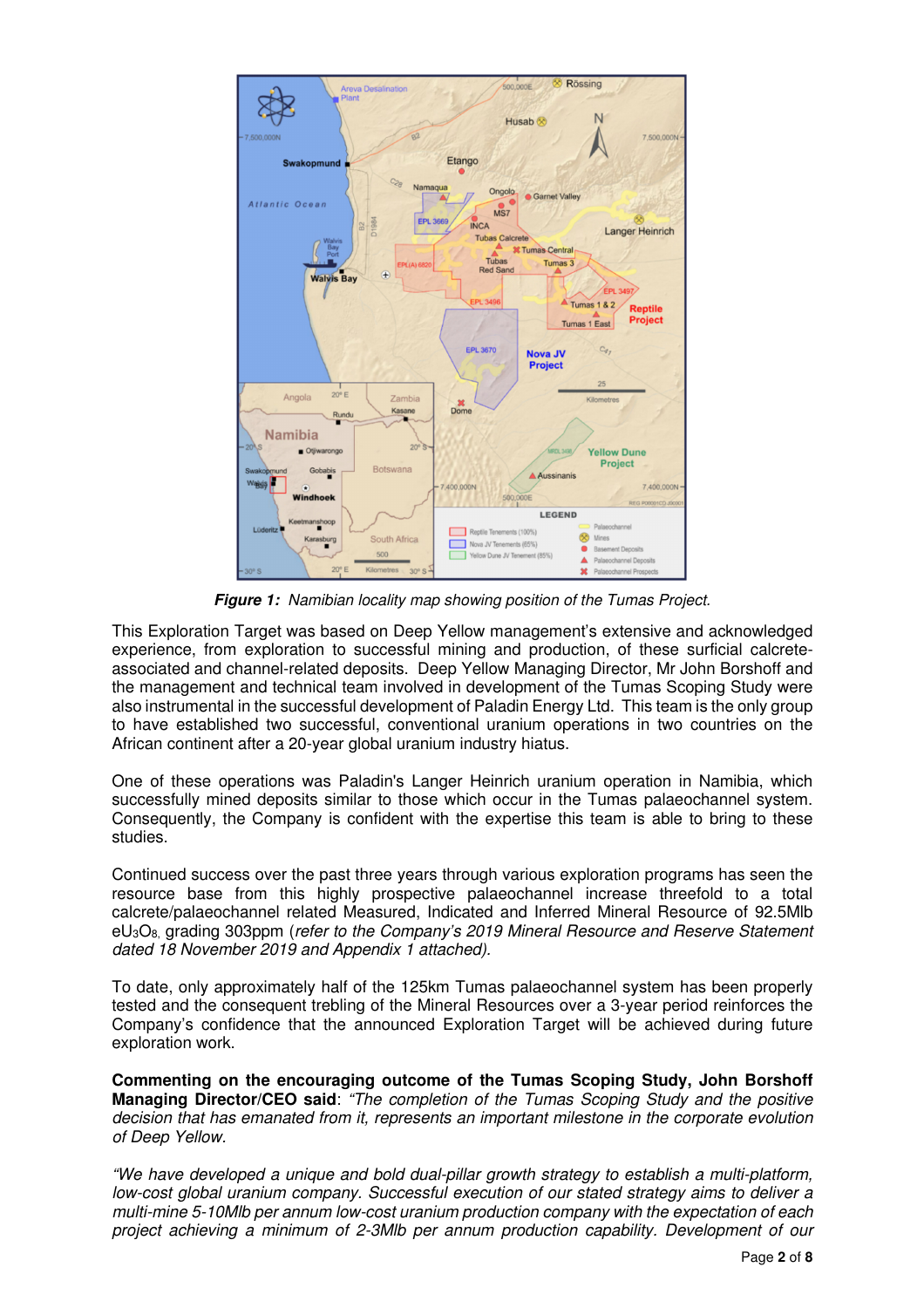

**Figure 1:** *Namibian locality map showing position of the Tumas Project.* 

This Exploration Target was based on Deep Yellow management's extensive and acknowledged experience, from exploration to successful mining and production, of these surficial calcreteassociated and channel-related deposits. Deep Yellow Managing Director, Mr John Borshoff and the management and technical team involved in development of the Tumas Scoping Study were also instrumental in the successful development of Paladin Energy Ltd. This team is the only group to have established two successful, conventional uranium operations in two countries on the African continent after a 20-year global uranium industry hiatus.

One of these operations was Paladin's Langer Heinrich uranium operation in Namibia, which successfully mined deposits similar to those which occur in the Tumas palaeochannel system. Consequently, the Company is confident with the expertise this team is able to bring to these studies.

Continued success over the past three years through various exploration programs has seen the resource base from this highly prospective palaeochannel increase threefold to a total calcrete/palaeochannel related Measured, Indicated and Inferred Mineral Resource of 92.5Mlb eU3O8, grading 303ppm (*refer to the Company's 2019 Mineral Resource and Reserve Statement dated 18 November 2019 and Appendix 1 attached).* 

To date, only approximately half of the 125km Tumas palaeochannel system has been properly tested and the consequent trebling of the Mineral Resources over a 3-year period reinforces the Company's confidence that the announced Exploration Target will be achieved during future exploration work.

**Commenting on the encouraging outcome of the Tumas Scoping Study, John Borshoff Managing Director/CEO said**: *"The completion of the Tumas Scoping Study and the positive decision that has emanated from it, represents an important milestone in the corporate evolution of Deep Yellow.* 

*"We have developed a unique and bold dual-pillar growth strategy to establish a multi-platform, low-cost global uranium company. Successful execution of our stated strategy aims to deliver a multi-mine 5-10Mlb per annum low-cost uranium production company with the expectation of each project achieving a minimum of 2-3Mlb per annum production capability. Development of our*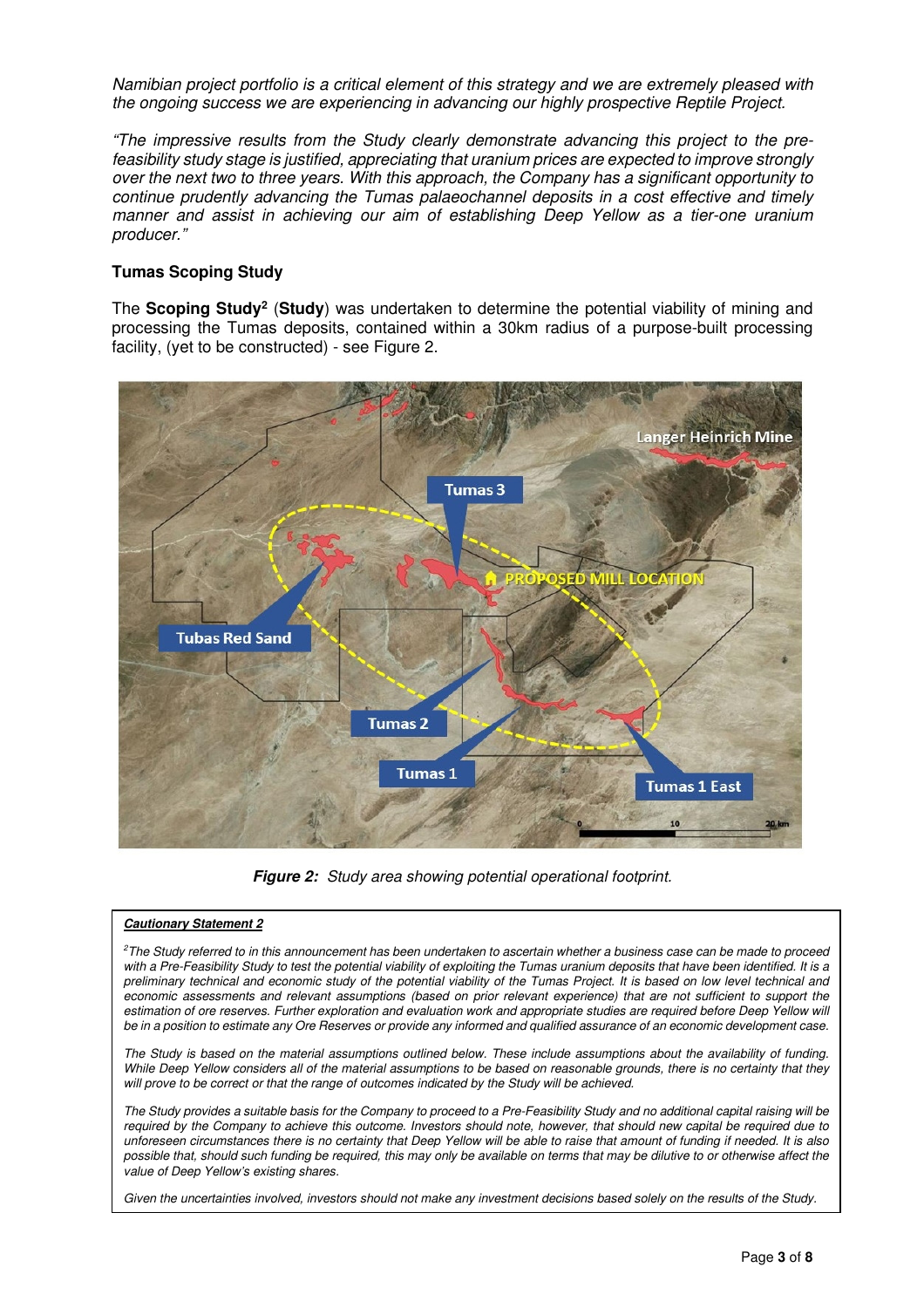*Namibian project portfolio is a critical element of this strategy and we are extremely pleased with the ongoing success we are experiencing in advancing our highly prospective Reptile Project.* 

*"The impressive results from the Study clearly demonstrate advancing this project to the prefeasibility study stage is justified, appreciating that uranium prices are expected to improve strongly over the next two to three years. With this approach, the Company has a significant opportunity to continue prudently advancing the Tumas palaeochannel deposits in a cost effective and timely manner and assist in achieving our aim of establishing Deep Yellow as a tier-one uranium producer."*

## **Tumas Scoping Study**

The **Scoping Study<sup>2</sup>** (**Study**) was undertaken to determine the potential viability of mining and processing the Tumas deposits, contained within a 30km radius of a purpose-built processing facility, (yet to be constructed) - see Figure 2.



**Figure 2:** *Study area showing potential operational footprint.* 

#### **Cautionary Statement 2**

*<sup>2</sup>The Study referred to in this announcement has been undertaken to ascertain whether a business case can be made to proceed with a Pre-Feasibility Study to test the potential viability of exploiting the Tumas uranium deposits that have been identified. It is a preliminary technical and economic study of the potential viability of the Tumas Project. It is based on low level technical and economic assessments and relevant assumptions (based on prior relevant experience) that are not sufficient to support the*  estimation of ore reserves. Further exploration and evaluation work and appropriate studies are required before Deep Yellow will *be in a position to estimate any Ore Reserves or provide any informed and qualified assurance of an economic development case.* 

*The Study is based on the material assumptions outlined below. These include assumptions about the availability of funding. While Deep Yellow considers all of the material assumptions to be based on reasonable grounds, there is no certainty that they will prove to be correct or that the range of outcomes indicated by the Study will be achieved.* 

*The Study provides a suitable basis for the Company to proceed to a Pre-Feasibility Study and no additional capital raising will be required by the Company to achieve this outcome. Investors should note, however, that should new capital be required due to unforeseen circumstances there is no certainty that Deep Yellow will be able to raise that amount of funding if needed. It is also possible that, should such funding be required, this may only be available on terms that may be dilutive to or otherwise affect the value of Deep Yellow's existing shares.* 

*Given the uncertainties involved, investors should not make any investment decisions based solely on the results of the Study.*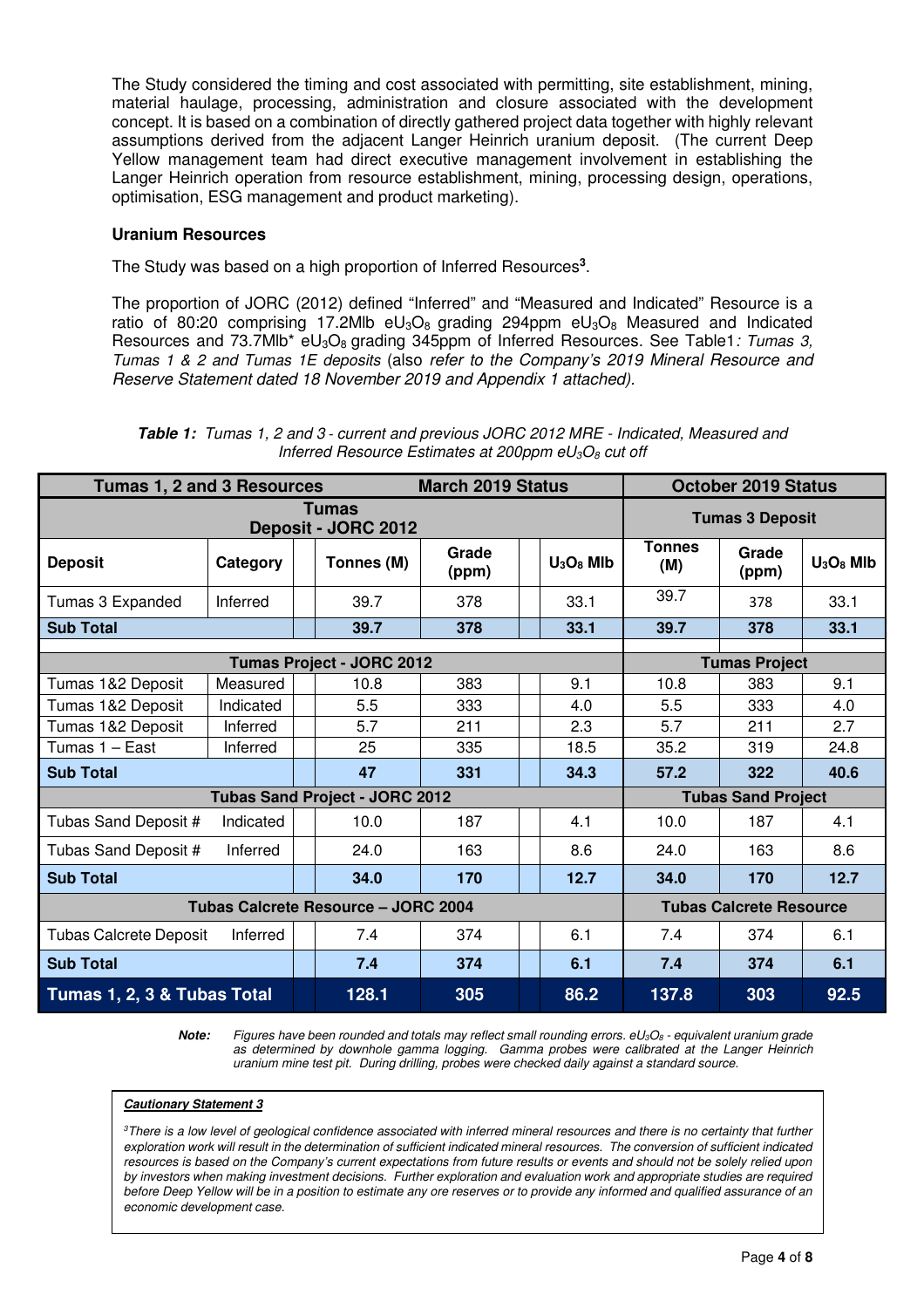The Study considered the timing and cost associated with permitting, site establishment, mining, material haulage, processing, administration and closure associated with the development concept. It is based on a combination of directly gathered project data together with highly relevant assumptions derived from the adjacent Langer Heinrich uranium deposit. (The current Deep Yellow management team had direct executive management involvement in establishing the Langer Heinrich operation from resource establishment, mining, processing design, operations, optimisation, ESG management and product marketing).

#### **Uranium Resources**

The Study was based on a high proportion of Inferred Resources**<sup>3</sup>** .

The proportion of JORC (2012) defined "Inferred" and "Measured and Indicated" Resource is a ratio of 80:20 comprising 17.2Mlb  $eU_3O_8$  grading 294ppm  $eU_3O_8$  Measured and Indicated Resources and 73.7Mlb\* eU3O8 grading 345ppm of Inferred Resources. See Table1*: Tumas 3, Tumas 1 & 2 and Tumas 1E deposits* (also *refer to the Company's 2019 Mineral Resource and Reserve Statement dated 18 November 2019 and Appendix 1 attached).* 

| Tumas 1, 2 and 3 Resources          |           |  |                                       | <b>March 2019 Status</b> |  |              | <b>October 2019 Status</b> |                                |              |  |
|-------------------------------------|-----------|--|---------------------------------------|--------------------------|--|--------------|----------------------------|--------------------------------|--------------|--|
| <b>Tumas</b><br>Deposit - JORC 2012 |           |  |                                       |                          |  |              | <b>Tumas 3 Deposit</b>     |                                |              |  |
| <b>Deposit</b>                      | Category  |  | Tonnes (M)                            | Grade<br>(ppm)           |  | $U_3O_8$ MIb | <b>Tonnes</b><br>(M)       | Grade<br>(ppm)                 | $U_3O_8$ MIb |  |
| Tumas 3 Expanded                    | Inferred  |  | 39.7                                  | 378                      |  | 33.1         | 39.7                       | 378                            | 33.1         |  |
| <b>Sub Total</b>                    |           |  | 39.7                                  | 378                      |  | 33.1         | 39.7                       | 378                            | 33.1         |  |
|                                     |           |  | <b>Tumas Project - JORC 2012</b>      |                          |  |              | <b>Tumas Project</b>       |                                |              |  |
| Tumas 1&2 Deposit                   | Measured  |  | 10.8                                  | 383                      |  | 9.1          | 10.8                       | 383                            | 9.1          |  |
| Tumas 1&2 Deposit                   | Indicated |  | 5.5                                   | 333                      |  | 4.0          | 5.5                        | 333                            | 4.0          |  |
| Tumas 1&2 Deposit                   | Inferred  |  | 5.7                                   | 211                      |  | 2.3          | 5.7                        | 211                            | 2.7          |  |
| Tumas 1 – East                      | Inferred  |  | 25                                    | 335                      |  | 18.5         | 35.2                       | 319                            | 24.8         |  |
| <b>Sub Total</b>                    |           |  | 47                                    | 331                      |  | 34.3         | 57.2                       | 322                            | 40.6         |  |
|                                     |           |  | <b>Tubas Sand Project - JORC 2012</b> |                          |  |              | <b>Tubas Sand Project</b>  |                                |              |  |
| Tubas Sand Deposit #                | Indicated |  | 10.0                                  | 187                      |  | 4.1          | 10.0                       | 187                            | 4.1          |  |
| Tubas Sand Deposit #                | Inferred  |  | 24.0                                  | 163                      |  | 8.6          | 24.0                       | 163                            | 8.6          |  |
| <b>Sub Total</b>                    |           |  | 34.0                                  | 170                      |  | 12.7         | 34.0                       | 170                            | 12.7         |  |
| Tubas Calcrete Resource - JORC 2004 |           |  |                                       |                          |  |              |                            | <b>Tubas Calcrete Resource</b> |              |  |
| <b>Tubas Calcrete Deposit</b>       | Inferred  |  | 7.4                                   | 374                      |  | 6.1          | 7.4                        | 374                            | 6.1          |  |
| <b>Sub Total</b>                    |           |  | 7.4                                   | 374                      |  | 6.1          | 7.4                        | 374                            | 6.1          |  |
| Tumas 1, 2, 3 & Tubas Total         |           |  | 128.1                                 | 305                      |  | 86.2         | 137.8                      | 303                            | 92.5         |  |

**Table 1:** *Tumas 1, 2 and 3 - current and previous JORC 2012 MRE - Indicated, Measured and Inferred Resource Estimates at 200ppm eU3O8 cut off* 

**Note:** *Figures have been rounded and totals may reflect small rounding errors. eU3O8 - equivalent uranium grade as determined by downhole gamma logging. Gamma probes were calibrated at the Langer Heinrich uranium mine test pit. During drilling, probes were checked daily against a standard source.* 

#### **Cautionary Statement 3**

*<sup>3</sup>There is a low level of geological confidence associated with inferred mineral resources and there is no certainty that further*  exploration work will result in the determination of sufficient indicated mineral resources. The conversion of sufficient indicated *resources is based on the Company's current expectations from future results or events and should not be solely relied upon by investors when making investment decisions. Further exploration and evaluation work and appropriate studies are required before Deep Yellow will be in a position to estimate any ore reserves or to provide any informed and qualified assurance of an economic development case.*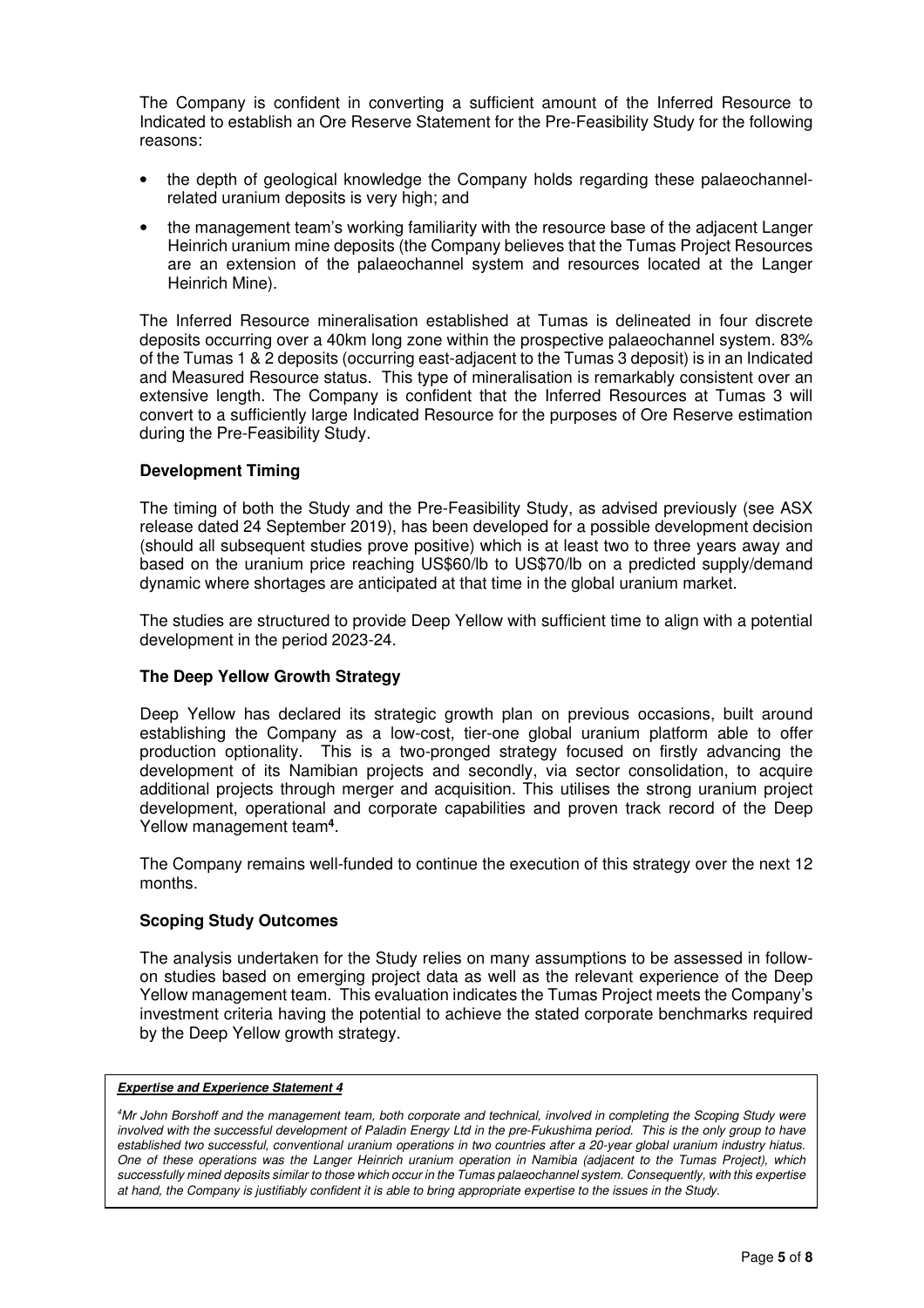The Company is confident in converting a sufficient amount of the Inferred Resource to Indicated to establish an Ore Reserve Statement for the Pre-Feasibility Study for the following reasons:

- the depth of geological knowledge the Company holds regarding these palaeochannelrelated uranium deposits is very high; and
- the management team's working familiarity with the resource base of the adjacent Langer Heinrich uranium mine deposits (the Company believes that the Tumas Project Resources are an extension of the palaeochannel system and resources located at the Langer Heinrich Mine).

The Inferred Resource mineralisation established at Tumas is delineated in four discrete deposits occurring over a 40km long zone within the prospective palaeochannel system. 83% of the Tumas 1 & 2 deposits (occurring east-adjacent to the Tumas 3 deposit) is in an Indicated and Measured Resource status. This type of mineralisation is remarkably consistent over an extensive length. The Company is confident that the Inferred Resources at Tumas 3 will convert to a sufficiently large Indicated Resource for the purposes of Ore Reserve estimation during the Pre-Feasibility Study.

## **Development Timing**

The timing of both the Study and the Pre-Feasibility Study, as advised previously (see ASX release dated 24 September 2019), has been developed for a possible development decision (should all subsequent studies prove positive) which is at least two to three years away and based on the uranium price reaching US\$60/lb to US\$70/lb on a predicted supply/demand dynamic where shortages are anticipated at that time in the global uranium market.

The studies are structured to provide Deep Yellow with sufficient time to align with a potential development in the period 2023-24.

#### **The Deep Yellow Growth Strategy**

Deep Yellow has declared its strategic growth plan on previous occasions, built around establishing the Company as a low-cost, tier-one global uranium platform able to offer production optionality. This is a two-pronged strategy focused on firstly advancing the development of its Namibian projects and secondly, via sector consolidation, to acquire additional projects through merger and acquisition. This utilises the strong uranium project development, operational and corporate capabilities and proven track record of the Deep Yellow management team**<sup>4</sup>** .

The Company remains well-funded to continue the execution of this strategy over the next 12 months.

#### **Scoping Study Outcomes**

The analysis undertaken for the Study relies on many assumptions to be assessed in followon studies based on emerging project data as well as the relevant experience of the Deep Yellow management team. This evaluation indicates the Tumas Project meets the Company's investment criteria having the potential to achieve the stated corporate benchmarks required by the Deep Yellow growth strategy.

#### **Expertise and Experience Statement 4**

*<sup>4</sup>Mr John Borshoff and the management team, both corporate and technical, involved in completing the Scoping Study were involved with the successful development of Paladin Energy Ltd in the pre-Fukushima period. This is the only group to have established two successful, conventional uranium operations in two countries after a 20-year global uranium industry hiatus. One of these operations was the Langer Heinrich uranium operation in Namibia (adjacent to the Tumas Project), which successfully mined deposits similar to those which occur in the Tumas palaeochannel system. Consequently, with this expertise at hand, the Company is justifiably confident it is able to bring appropriate expertise to the issues in the Study.*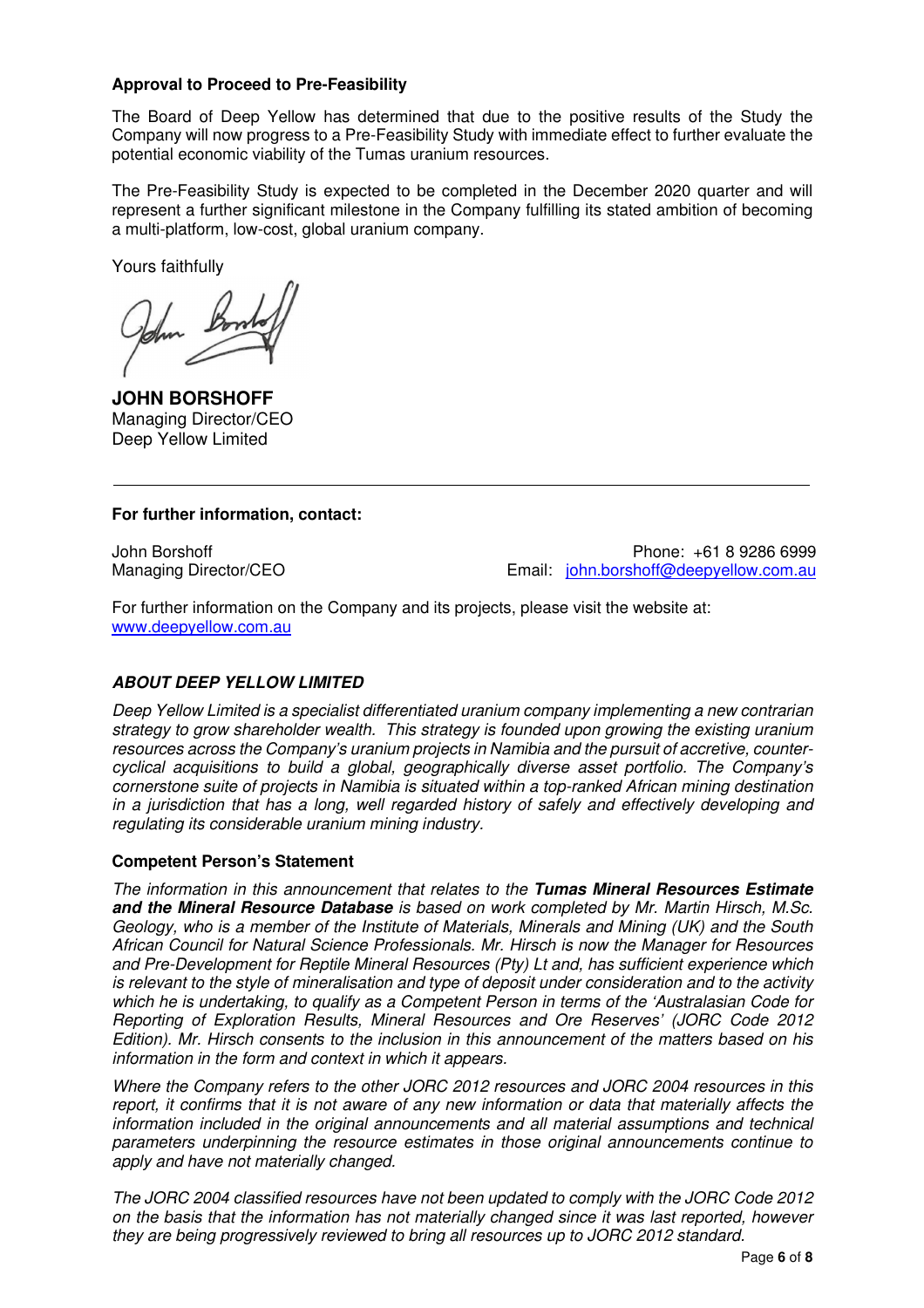## **Approval to Proceed to Pre-Feasibility**

The Board of Deep Yellow has determined that due to the positive results of the Study the Company will now progress to a Pre-Feasibility Study with immediate effect to further evaluate the potential economic viability of the Tumas uranium resources.

The Pre-Feasibility Study is expected to be completed in the December 2020 quarter and will represent a further significant milestone in the Company fulfilling its stated ambition of becoming a multi-platform, low-cost, global uranium company.

Yours faithfully

**JOHN BORSHOFF** Managing Director/CEO Deep Yellow Limited

# **For further information, contact:**

John Borshoff Phone: +61 8 9286 6999 Managing Director/CEO **Email:** john.borshoff@deepyellow.com.au

For further information on the Company and its projects, please visit the website at: www.deepyellow.com.au

# **ABOUT DEEP YELLOW LIMITED**

*Deep Yellow Limited is a specialist differentiated uranium company implementing a new contrarian strategy to grow shareholder wealth. This strategy is founded upon growing the existing uranium resources across the Company's uranium projects in Namibia and the pursuit of accretive, countercyclical acquisitions to build a global, geographically diverse asset portfolio. The Company's cornerstone suite of projects in Namibia is situated within a top-ranked African mining destination in a jurisdiction that has a long, well regarded history of safely and effectively developing and regulating its considerable uranium mining industry.* 

# **Competent Person's Statement**

*The information in this announcement that relates to the* **Tumas Mineral Resources Estimate and the Mineral Resource Database** *is based on work completed by Mr. Martin Hirsch, M.Sc. Geology, who is a member of the Institute of Materials, Minerals and Mining (UK) and the South African Council for Natural Science Professionals. Mr. Hirsch is now the Manager for Resources and Pre-Development for Reptile Mineral Resources (Pty) Lt and, has sufficient experience which is relevant to the style of mineralisation and type of deposit under consideration and to the activity which he is undertaking, to qualify as a Competent Person in terms of the 'Australasian Code for Reporting of Exploration Results, Mineral Resources and Ore Reserves' (JORC Code 2012 Edition). Mr. Hirsch consents to the inclusion in this announcement of the matters based on his information in the form and context in which it appears.* 

*Where the Company refers to the other JORC 2012 resources and JORC 2004 resources in this report, it confirms that it is not aware of any new information or data that materially affects the information included in the original announcements and all material assumptions and technical parameters underpinning the resource estimates in those original announcements continue to apply and have not materially changed.* 

*The JORC 2004 classified resources have not been updated to comply with the JORC Code 2012 on the basis that the information has not materially changed since it was last reported, however they are being progressively reviewed to bring all resources up to JORC 2012 standard.*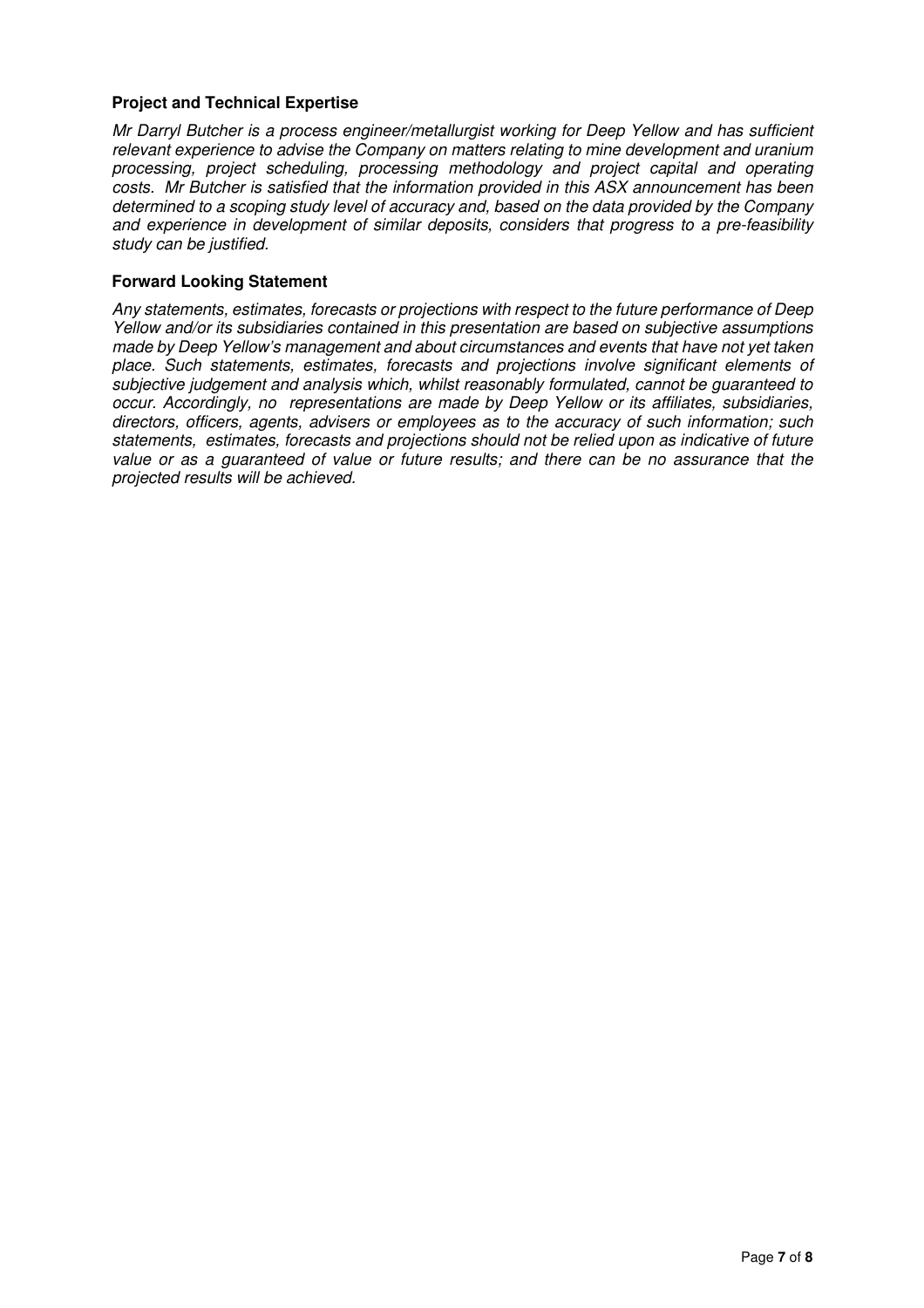## **Project and Technical Expertise**

*Mr Darryl Butcher is a process engineer/metallurgist working for Deep Yellow and has sufficient relevant experience to advise the Company on matters relating to mine development and uranium processing, project scheduling, processing methodology and project capital and operating costs. Mr Butcher is satisfied that the information provided in this ASX announcement has been determined to a scoping study level of accuracy and, based on the data provided by the Company and experience in development of similar deposits, considers that progress to a pre-feasibility study can be justified.* 

#### **Forward Looking Statement**

*Any statements, estimates, forecasts or projections with respect to the future performance of Deep Yellow and/or its subsidiaries contained in this presentation are based on subjective assumptions made by Deep Yellow's management and about circumstances and events that have not yet taken place. Such statements, estimates, forecasts and projections involve significant elements of subjective judgement and analysis which, whilst reasonably formulated, cannot be guaranteed to occur. Accordingly, no representations are made by Deep Yellow or its affiliates, subsidiaries, directors, officers, agents, advisers or employees as to the accuracy of such information; such statements, estimates, forecasts and projections should not be relied upon as indicative of future value or as a guaranteed of value or future results; and there can be no assurance that the projected results will be achieved.*